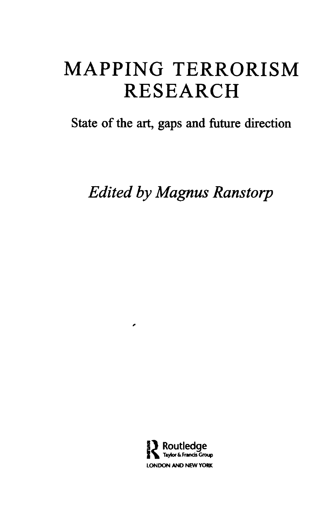## **MAPPING TERRORISM RESEARCH**

State of the art, gaps and future direction

*Edited by Magnus Ranstorp*



×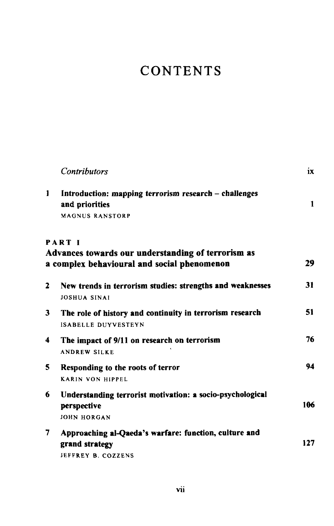## **CONTENTS**

|              | <b>Contributors</b>                                                                                                | ix  |
|--------------|--------------------------------------------------------------------------------------------------------------------|-----|
| 1            | Introduction: mapping terrorism research – challenges<br>and priorities<br><b>MAGNUS RANSTORP</b>                  | 1   |
|              | <b>PART I</b><br>Advances towards our understanding of terrorism as<br>a complex behavioural and social phenomenon | 29  |
| $\mathbf{2}$ | New trends in terrorism studies: strengths and weaknesses<br>JOSHUA SINAI                                          | 31  |
| 3            | The role of history and continuity in terrorism research<br><b>ISABELLE DUYVESTEYN</b>                             | 51  |
| 4            | The impact of 9/11 on research on terrorism<br><b>ANDREW SILKE</b>                                                 | 76  |
| 5            | Responding to the roots of terror<br><b>KARIN VON HIPPEL</b>                                                       | 94  |
| 6            | Understanding terrorist motivation: a socio-psychological<br>perspective<br><b>JOHN HORGAN</b>                     | 106 |
| 7            | Approaching al-Qaeda's warfare: function, culture and<br>grand strategy<br>JEFFREY B. COZZENS                      | 127 |